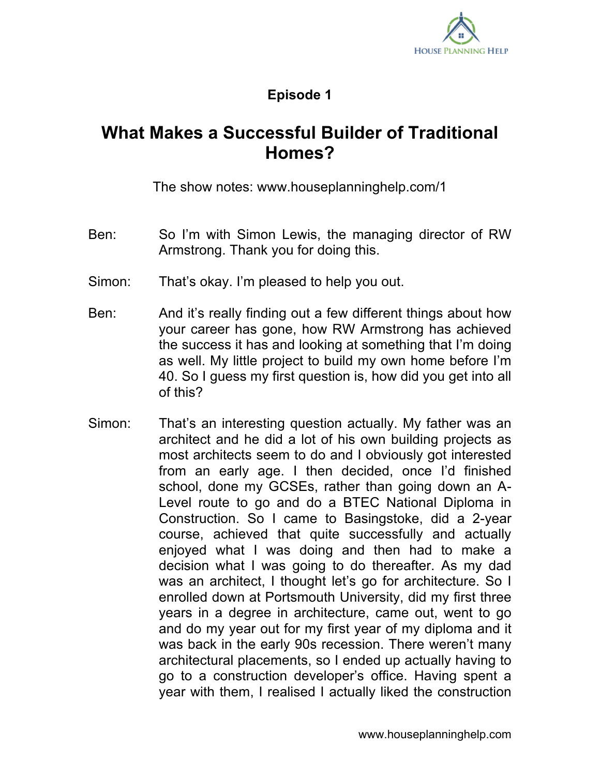

## **Episode 1**

## **What Makes a Successful Builder of Traditional Homes?**

The show notes: www.houseplanninghelp.com/1

- Ben: So I'm with Simon Lewis, the managing director of RW Armstrong. Thank you for doing this.
- Simon: That's okay. I'm pleased to help you out.
- Ben: And it's really finding out a few different things about how your career has gone, how RW Armstrong has achieved the success it has and looking at something that I'm doing as well. My little project to build my own home before I'm 40. So I guess my first question is, how did you get into all of this?
- Simon: That's an interesting question actually. My father was an architect and he did a lot of his own building projects as most architects seem to do and I obviously got interested from an early age. I then decided, once I'd finished school, done my GCSEs, rather than going down an A-Level route to go and do a BTEC National Diploma in Construction. So I came to Basingstoke, did a 2-year course, achieved that quite successfully and actually enjoyed what I was doing and then had to make a decision what I was going to do thereafter. As my dad was an architect, I thought let's go for architecture. So I enrolled down at Portsmouth University, did my first three years in a degree in architecture, came out, went to go and do my year out for my first year of my diploma and it was back in the early 90s recession. There weren't many architectural placements, so I ended up actually having to go to a construction developer's office. Having spent a year with them, I realised I actually liked the construction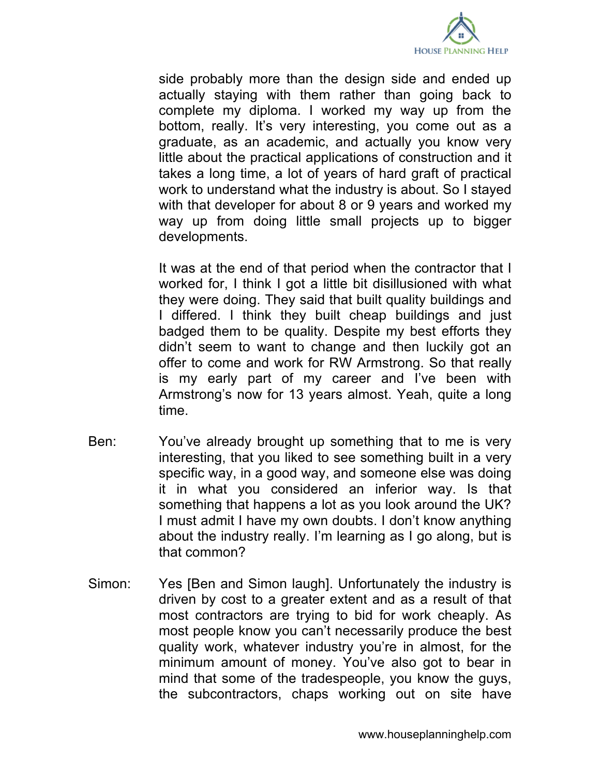

side probably more than the design side and ended up actually staying with them rather than going back to complete my diploma. I worked my way up from the bottom, really. It's very interesting, you come out as a graduate, as an academic, and actually you know very little about the practical applications of construction and it takes a long time, a lot of years of hard graft of practical work to understand what the industry is about. So I stayed with that developer for about 8 or 9 years and worked my way up from doing little small projects up to bigger developments.

It was at the end of that period when the contractor that I worked for, I think I got a little bit disillusioned with what they were doing. They said that built quality buildings and I differed. I think they built cheap buildings and just badged them to be quality. Despite my best efforts they didn't seem to want to change and then luckily got an offer to come and work for RW Armstrong. So that really is my early part of my career and I've been with Armstrong's now for 13 years almost. Yeah, quite a long time.

- Ben: You've already brought up something that to me is very interesting, that you liked to see something built in a very specific way, in a good way, and someone else was doing it in what you considered an inferior way. Is that something that happens a lot as you look around the UK? I must admit I have my own doubts. I don't know anything about the industry really. I'm learning as I go along, but is that common?
- Simon: Yes [Ben and Simon laugh]. Unfortunately the industry is driven by cost to a greater extent and as a result of that most contractors are trying to bid for work cheaply. As most people know you can't necessarily produce the best quality work, whatever industry you're in almost, for the minimum amount of money. You've also got to bear in mind that some of the tradespeople, you know the guys, the subcontractors, chaps working out on site have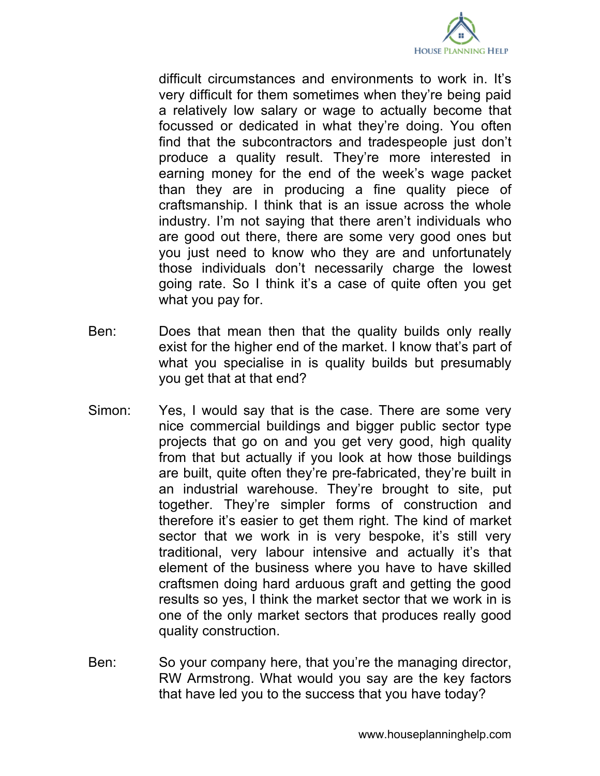

difficult circumstances and environments to work in. It's very difficult for them sometimes when they're being paid a relatively low salary or wage to actually become that focussed or dedicated in what they're doing. You often find that the subcontractors and tradespeople just don't produce a quality result. They're more interested in earning money for the end of the week's wage packet than they are in producing a fine quality piece of craftsmanship. I think that is an issue across the whole industry. I'm not saying that there aren't individuals who are good out there, there are some very good ones but you just need to know who they are and unfortunately those individuals don't necessarily charge the lowest going rate. So I think it's a case of quite often you get what you pay for.

- Ben: Does that mean then that the quality builds only really exist for the higher end of the market. I know that's part of what you specialise in is quality builds but presumably you get that at that end?
- Simon: Yes, I would say that is the case. There are some very nice commercial buildings and bigger public sector type projects that go on and you get very good, high quality from that but actually if you look at how those buildings are built, quite often they're pre-fabricated, they're built in an industrial warehouse. They're brought to site, put together. They're simpler forms of construction and therefore it's easier to get them right. The kind of market sector that we work in is very bespoke, it's still very traditional, very labour intensive and actually it's that element of the business where you have to have skilled craftsmen doing hard arduous graft and getting the good results so yes, I think the market sector that we work in is one of the only market sectors that produces really good quality construction.
- Ben: So your company here, that you're the managing director, RW Armstrong. What would you say are the key factors that have led you to the success that you have today?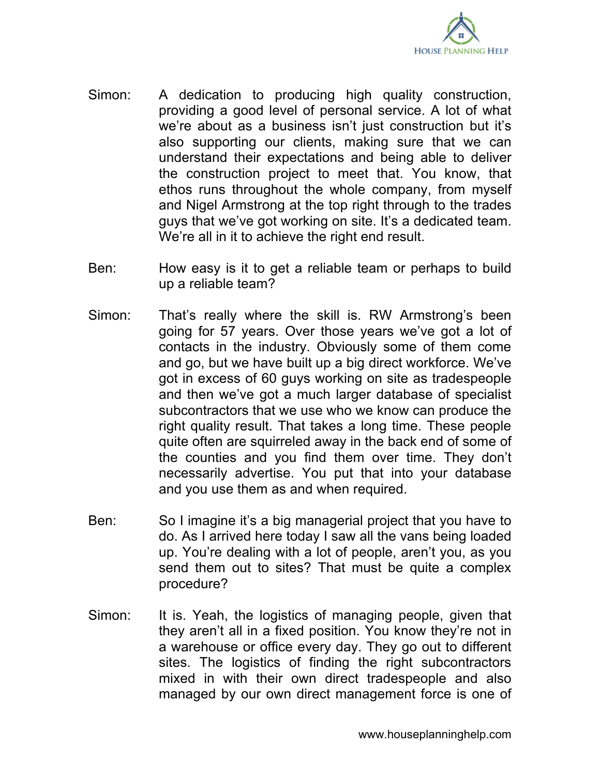

- Simon: A dedication to producing high quality construction, providing a good level of personal service. A lot of what we're about as a business isn't just construction but it's also supporting our clients, making sure that we can understand their expectations and being able to deliver the construction project to meet that. You know, that ethos runs throughout the whole company, from myself and Nigel Armstrong at the top right through to the trades guys that we've got working on site. It's a dedicated team. We're all in it to achieve the right end result.
- Ben: How easy is it to get a reliable team or perhaps to build up a reliable team?
- Simon: That's really where the skill is. RW Armstrong's been going for 57 years. Over those years we've got a lot of contacts in the industry. Obviously some of them come and go, but we have built up a big direct workforce. We've got in excess of 60 guys working on site as tradespeople and then we've got a much larger database of specialist subcontractors that we use who we know can produce the right quality result. That takes a long time. These people quite often are squirreled away in the back end of some of the counties and you find them over time. They don't necessarily advertise. You put that into your database and you use them as and when required.
- Ben: So I imagine it's a big managerial project that you have to do. As I arrived here today I saw all the vans being loaded up. You're dealing with a lot of people, aren't you, as you send them out to sites? That must be quite a complex procedure?
- Simon: It is. Yeah, the logistics of managing people, given that they aren't all in a fixed position. You know they're not in a warehouse or office every day. They go out to different sites. The logistics of finding the right subcontractors mixed in with their own direct tradespeople and also managed by our own direct management force is one of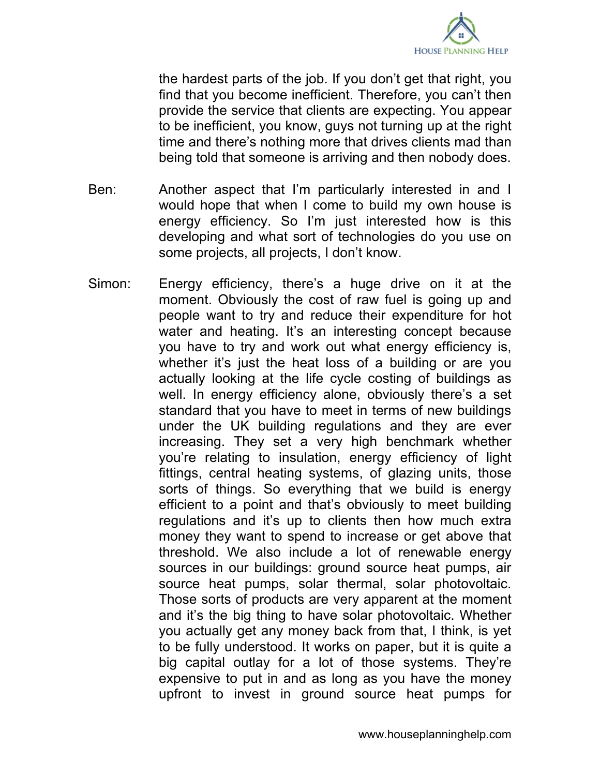

the hardest parts of the job. If you don't get that right, you find that you become inefficient. Therefore, you can't then provide the service that clients are expecting. You appear to be inefficient, you know, guys not turning up at the right time and there's nothing more that drives clients mad than being told that someone is arriving and then nobody does.

- Ben: Another aspect that I'm particularly interested in and I would hope that when I come to build my own house is energy efficiency. So I'm just interested how is this developing and what sort of technologies do you use on some projects, all projects, I don't know.
- Simon: Energy efficiency, there's a huge drive on it at the moment. Obviously the cost of raw fuel is going up and people want to try and reduce their expenditure for hot water and heating. It's an interesting concept because you have to try and work out what energy efficiency is, whether it's just the heat loss of a building or are you actually looking at the life cycle costing of buildings as well. In energy efficiency alone, obviously there's a set standard that you have to meet in terms of new buildings under the UK building regulations and they are ever increasing. They set a very high benchmark whether you're relating to insulation, energy efficiency of light fittings, central heating systems, of glazing units, those sorts of things. So everything that we build is energy efficient to a point and that's obviously to meet building regulations and it's up to clients then how much extra money they want to spend to increase or get above that threshold. We also include a lot of renewable energy sources in our buildings: ground source heat pumps, air source heat pumps, solar thermal, solar photovoltaic. Those sorts of products are very apparent at the moment and it's the big thing to have solar photovoltaic. Whether you actually get any money back from that, I think, is yet to be fully understood. It works on paper, but it is quite a big capital outlay for a lot of those systems. They're expensive to put in and as long as you have the money upfront to invest in ground source heat pumps for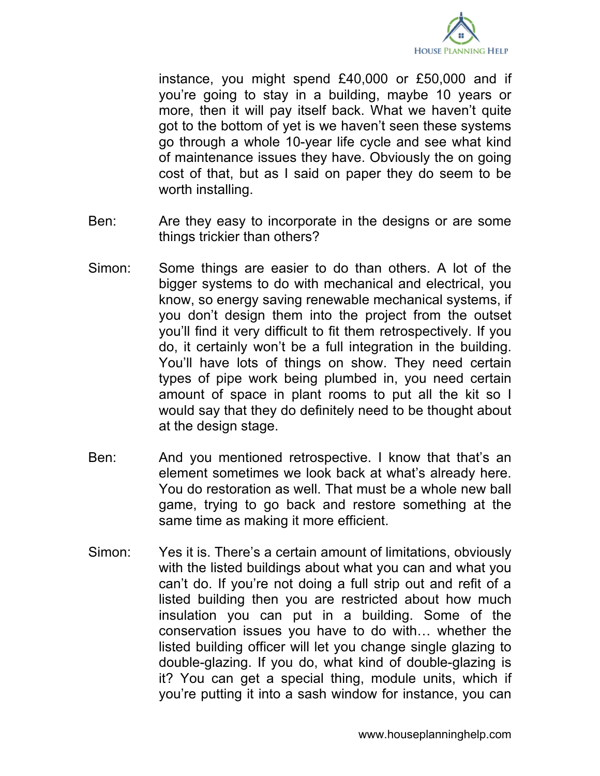

instance, you might spend £40,000 or £50,000 and if you're going to stay in a building, maybe 10 years or more, then it will pay itself back. What we haven't quite got to the bottom of yet is we haven't seen these systems go through a whole 10-year life cycle and see what kind of maintenance issues they have. Obviously the on going cost of that, but as I said on paper they do seem to be worth installing.

- Ben: Are they easy to incorporate in the designs or are some things trickier than others?
- Simon: Some things are easier to do than others. A lot of the bigger systems to do with mechanical and electrical, you know, so energy saving renewable mechanical systems, if you don't design them into the project from the outset you'll find it very difficult to fit them retrospectively. If you do, it certainly won't be a full integration in the building. You'll have lots of things on show. They need certain types of pipe work being plumbed in, you need certain amount of space in plant rooms to put all the kit so I would say that they do definitely need to be thought about at the design stage.
- Ben: And you mentioned retrospective. I know that that's an element sometimes we look back at what's already here. You do restoration as well. That must be a whole new ball game, trying to go back and restore something at the same time as making it more efficient.
- Simon: Yes it is. There's a certain amount of limitations, obviously with the listed buildings about what you can and what you can't do. If you're not doing a full strip out and refit of a listed building then you are restricted about how much insulation you can put in a building. Some of the conservation issues you have to do with… whether the listed building officer will let you change single glazing to double-glazing. If you do, what kind of double-glazing is it? You can get a special thing, module units, which if you're putting it into a sash window for instance, you can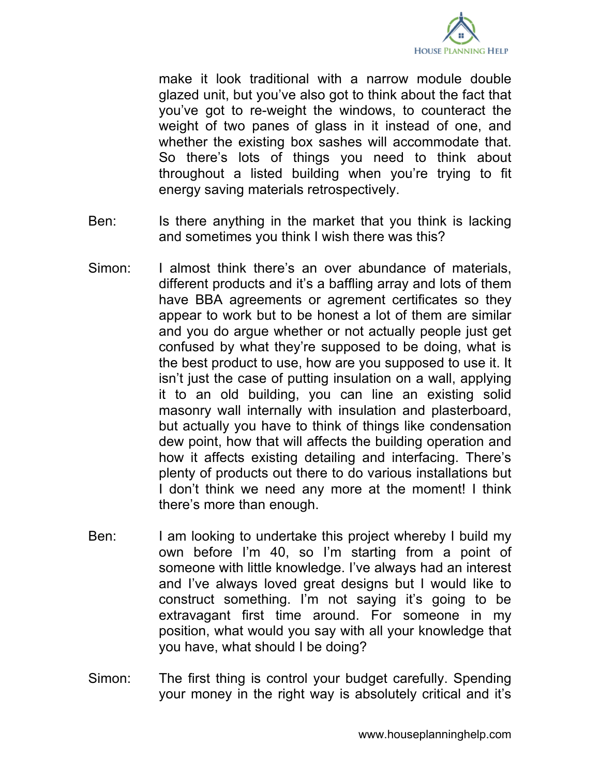

make it look traditional with a narrow module double glazed unit, but you've also got to think about the fact that you've got to re-weight the windows, to counteract the weight of two panes of glass in it instead of one, and whether the existing box sashes will accommodate that. So there's lots of things you need to think about throughout a listed building when you're trying to fit energy saving materials retrospectively.

- Ben: Is there anything in the market that you think is lacking and sometimes you think I wish there was this?
- Simon: I almost think there's an over abundance of materials, different products and it's a baffling array and lots of them have BBA agreements or agrement certificates so they appear to work but to be honest a lot of them are similar and you do argue whether or not actually people just get confused by what they're supposed to be doing, what is the best product to use, how are you supposed to use it. It isn't just the case of putting insulation on a wall, applying it to an old building, you can line an existing solid masonry wall internally with insulation and plasterboard, but actually you have to think of things like condensation dew point, how that will affects the building operation and how it affects existing detailing and interfacing. There's plenty of products out there to do various installations but I don't think we need any more at the moment! I think there's more than enough.
- Ben: I am looking to undertake this project whereby I build my own before I'm 40, so I'm starting from a point of someone with little knowledge. I've always had an interest and I've always loved great designs but I would like to construct something. I'm not saying it's going to be extravagant first time around. For someone in my position, what would you say with all your knowledge that you have, what should I be doing?
- Simon: The first thing is control your budget carefully. Spending your money in the right way is absolutely critical and it's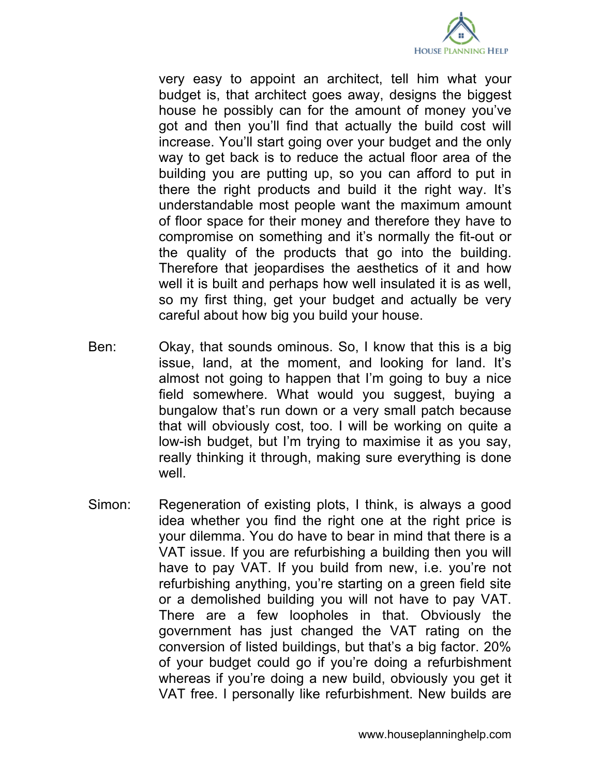

very easy to appoint an architect, tell him what your budget is, that architect goes away, designs the biggest house he possibly can for the amount of money you've got and then you'll find that actually the build cost will increase. You'll start going over your budget and the only way to get back is to reduce the actual floor area of the building you are putting up, so you can afford to put in there the right products and build it the right way. It's understandable most people want the maximum amount of floor space for their money and therefore they have to compromise on something and it's normally the fit-out or the quality of the products that go into the building. Therefore that jeopardises the aesthetics of it and how well it is built and perhaps how well insulated it is as well, so my first thing, get your budget and actually be very careful about how big you build your house.

- Ben: Okay, that sounds ominous. So, I know that this is a big issue, land, at the moment, and looking for land. It's almost not going to happen that I'm going to buy a nice field somewhere. What would you suggest, buying a bungalow that's run down or a very small patch because that will obviously cost, too. I will be working on quite a low-ish budget, but I'm trying to maximise it as you say, really thinking it through, making sure everything is done well.
- Simon: Regeneration of existing plots, I think, is always a good idea whether you find the right one at the right price is your dilemma. You do have to bear in mind that there is a VAT issue. If you are refurbishing a building then you will have to pay VAT. If you build from new, i.e. you're not refurbishing anything, you're starting on a green field site or a demolished building you will not have to pay VAT. There are a few loopholes in that. Obviously the government has just changed the VAT rating on the conversion of listed buildings, but that's a big factor. 20% of your budget could go if you're doing a refurbishment whereas if you're doing a new build, obviously you get it VAT free. I personally like refurbishment. New builds are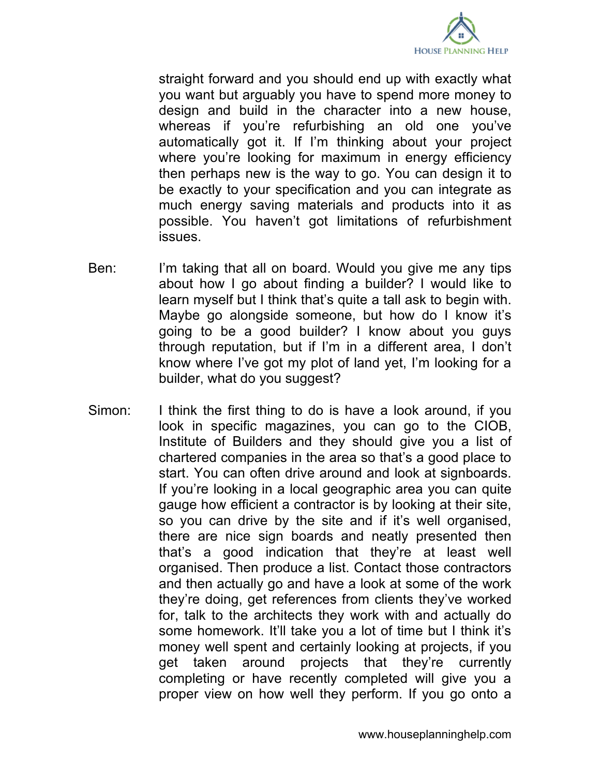

straight forward and you should end up with exactly what you want but arguably you have to spend more money to design and build in the character into a new house, whereas if you're refurbishing an old one you've automatically got it. If I'm thinking about your project where you're looking for maximum in energy efficiency then perhaps new is the way to go. You can design it to be exactly to your specification and you can integrate as much energy saving materials and products into it as possible. You haven't got limitations of refurbishment issues.

- Ben: I'm taking that all on board. Would you give me any tips about how I go about finding a builder? I would like to learn myself but I think that's quite a tall ask to begin with. Maybe go alongside someone, but how do I know it's going to be a good builder? I know about you guys through reputation, but if I'm in a different area, I don't know where I've got my plot of land yet, I'm looking for a builder, what do you suggest?
- Simon: I think the first thing to do is have a look around, if you look in specific magazines, you can go to the CIOB, Institute of Builders and they should give you a list of chartered companies in the area so that's a good place to start. You can often drive around and look at signboards. If you're looking in a local geographic area you can quite gauge how efficient a contractor is by looking at their site, so you can drive by the site and if it's well organised, there are nice sign boards and neatly presented then that's a good indication that they're at least well organised. Then produce a list. Contact those contractors and then actually go and have a look at some of the work they're doing, get references from clients they've worked for, talk to the architects they work with and actually do some homework. It'll take you a lot of time but I think it's money well spent and certainly looking at projects, if you get taken around projects that they're currently completing or have recently completed will give you a proper view on how well they perform. If you go onto a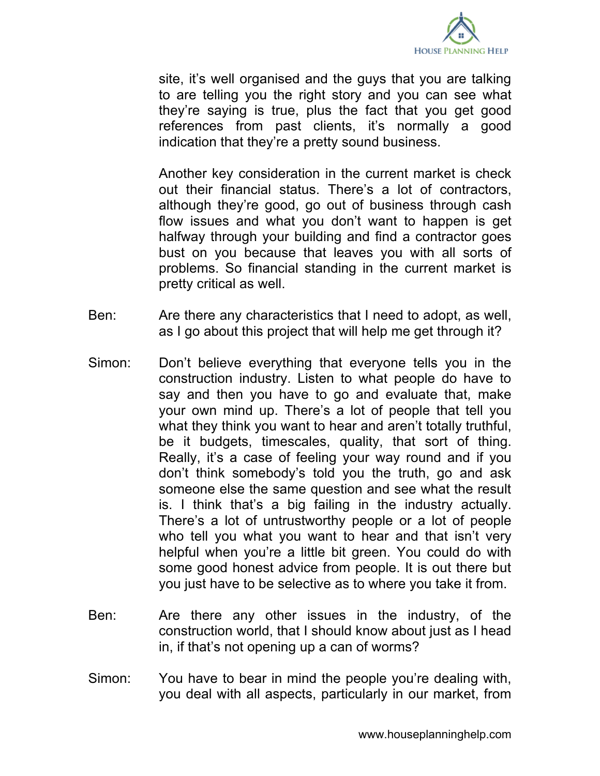

site, it's well organised and the guys that you are talking to are telling you the right story and you can see what they're saying is true, plus the fact that you get good references from past clients, it's normally a good indication that they're a pretty sound business.

Another key consideration in the current market is check out their financial status. There's a lot of contractors, although they're good, go out of business through cash flow issues and what you don't want to happen is get halfway through your building and find a contractor goes bust on you because that leaves you with all sorts of problems. So financial standing in the current market is pretty critical as well.

- Ben: Are there any characteristics that I need to adopt, as well, as I go about this project that will help me get through it?
- Simon: Don't believe everything that everyone tells you in the construction industry. Listen to what people do have to say and then you have to go and evaluate that, make your own mind up. There's a lot of people that tell you what they think you want to hear and aren't totally truthful, be it budgets, timescales, quality, that sort of thing. Really, it's a case of feeling your way round and if you don't think somebody's told you the truth, go and ask someone else the same question and see what the result is. I think that's a big failing in the industry actually. There's a lot of untrustworthy people or a lot of people who tell you what you want to hear and that isn't very helpful when you're a little bit green. You could do with some good honest advice from people. It is out there but you just have to be selective as to where you take it from.
- Ben: Are there any other issues in the industry, of the construction world, that I should know about just as I head in, if that's not opening up a can of worms?
- Simon: You have to bear in mind the people you're dealing with, you deal with all aspects, particularly in our market, from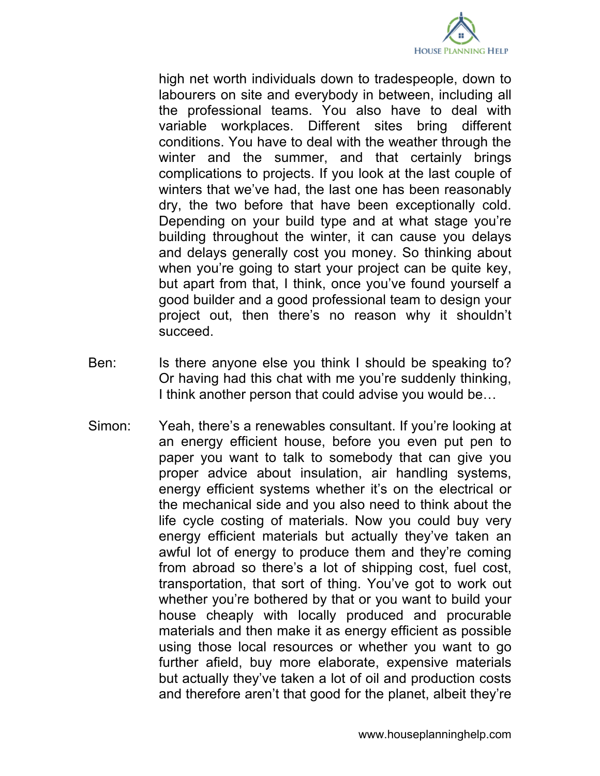

high net worth individuals down to tradespeople, down to labourers on site and everybody in between, including all the professional teams. You also have to deal with variable workplaces. Different sites bring different conditions. You have to deal with the weather through the winter and the summer, and that certainly brings complications to projects. If you look at the last couple of winters that we've had, the last one has been reasonably dry, the two before that have been exceptionally cold. Depending on your build type and at what stage you're building throughout the winter, it can cause you delays and delays generally cost you money. So thinking about when you're going to start your project can be quite key, but apart from that, I think, once you've found yourself a good builder and a good professional team to design your project out, then there's no reason why it shouldn't succeed.

- Ben: Is there anyone else you think I should be speaking to? Or having had this chat with me you're suddenly thinking, I think another person that could advise you would be…
- Simon: Yeah, there's a renewables consultant. If you're looking at an energy efficient house, before you even put pen to paper you want to talk to somebody that can give you proper advice about insulation, air handling systems, energy efficient systems whether it's on the electrical or the mechanical side and you also need to think about the life cycle costing of materials. Now you could buy very energy efficient materials but actually they've taken an awful lot of energy to produce them and they're coming from abroad so there's a lot of shipping cost, fuel cost, transportation, that sort of thing. You've got to work out whether you're bothered by that or you want to build your house cheaply with locally produced and procurable materials and then make it as energy efficient as possible using those local resources or whether you want to go further afield, buy more elaborate, expensive materials but actually they've taken a lot of oil and production costs and therefore aren't that good for the planet, albeit they're